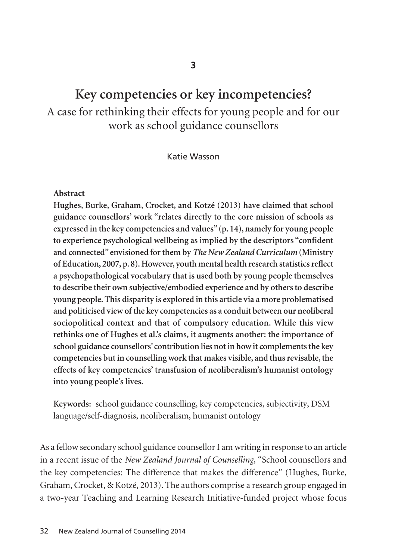# **Key competencies or key incompetencies?**

A case for rethinking their effects for young people and for our work as school guidance counsellors

Katie Wasson

#### **Abstract**

**Hughes, Burke, Graham, Crocket, and Kotzé (2013) have claimed that school guidance counsellors' work "relates directly to the core mission of schools as expressed in the key competencies and values" (p. 14), namely for young people to experience psychological wellbeing as implied by the descriptors "confident and connected" envisioned for them by** *The New Zealand Curriculum* **(Ministry of Education, 2007, p. 8). However, youth mental health research statistics reflect a psychopathological vocabulary that is used both by young people themselves to describe their own subjective/embodied experience and by others to describe young people. This disparity is explored in this article via a more problematised and politicised view of the key competencies as a conduit between our neoliberal sociopolitical context and that of compulsory education. While this view rethinks one of Hughes et al.'s claims, it augments another: the importance of school guidance counsellors' contribution lies not in how it complements the key competencies but in counselling work that makes visible, and thus revisable, the effects of key competencies' transfusion of neoliberalism's humanist ontology into young people's lives.** 

**Keywords:** school guidance counselling, key competencies, subjectivity, DSM language/self-diagnosis, neoliberalism, humanist ontology

As a fellow secondary school guidance counsellor I am writing in response to an article in a recent issue of the *New Zealand Journal of Counselling*, "School counsellors and the key competencies: The difference that makes the difference" (Hughes, Burke, Graham, Crocket, & Kotzé, 2013). The authors comprise a research group engaged in a two-year Teaching and Learning Research Initiative-funded project whose focus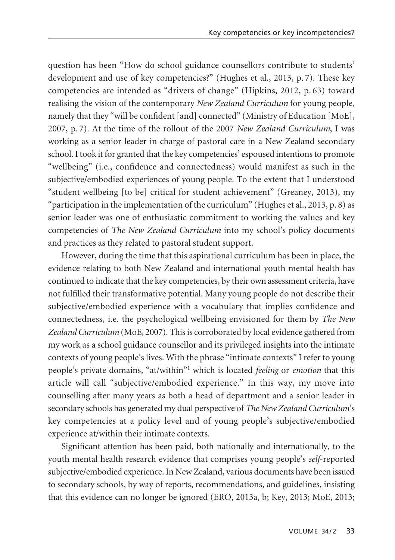question has been "How do school guidance counsellors contribute to students' development and use of key competencies?" (Hughes et al., 2013, p. 7). These key competencies are intended as "drivers of change" (Hipkins, 2012, p. 63) toward realising the vision of the contemporary *New Zealand Curriculum* for young people, namely that they "will be confident [and] connected" (Ministry of Education [MoE], 2007, p. 7). At the time of the rollout of the 2007 *New Zealand Curriculum*, I was working as a senior leader in charge of pastoral care in a New Zealand secondary school. I took it for granted that the key competencies' espoused intentions to promote "wellbeing" (i.e., confidence and connectedness) would manifest as such in the subjective/embodied experiences of young people. To the extent that I understood "student wellbeing [to be] critical for student achievement" (Greaney, 2013), my "participation in the implementation of the curriculum" (Hughes et al., 2013, p. 8) as senior leader was one of enthusiastic commitment to working the values and key competencies of *The New Zealand Curriculum* into my school's policy documents and practices as they related to pastoral student support.

However, during the time that this aspirational curriculum has been in place, the evidence relating to both New Zealand and international youth mental health has continued to indicate that the key competencies, by their own assessment criteria, have not fulfilled their transformative potential. Many young people do not describe their subjective/embodied experience with a vocabulary that implies confidence and connectedness, i.e. the psychological wellbeing envisioned for them by *The New Zealand Curriculum* (MoE, 2007). This is corroborated by local evidence gathered from my work as a school guidance counsellor and its privileged insights into the intimate contexts of young people's lives. With the phrase "intimate contexts" I refer to young people's private domains, "at/within"1 which is located *feeling* or *emotion* that this article will call "subjective/embodied experience." In this way, my move into counselling after many years as both a head of department and a senior leader in secondary schools has generated my dual perspective of *The New Zealand Curriculum*'s key competencies at a policy level and of young people's subjective/embodied experience at/within their intimate contexts.

Significant attention has been paid, both nationally and internationally, to the youth mental health research evidence that comprises young people's *self*-reported subjective/embodied experience. In New Zealand, various documents have been issued to secondary schools, by way of reports, recommendations, and guidelines, insisting that this evidence can no longer be ignored (ERO, 2013a, b; Key, 2013; MoE, 2013;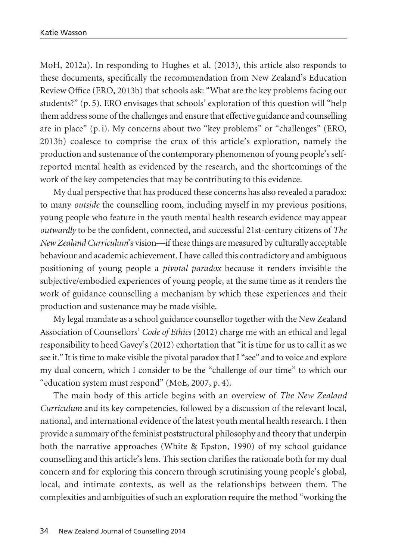MoH, 2012a). In responding to Hughes et al. (2013), this article also responds to these documents, specifically the recommendation from New Zealand's Education Review Office (ERO, 2013b) that schools ask: "What are the key problems facing our students?" (p. 5). ERO envisages that schools' exploration of this question will "help them address some of the challenges and ensure that effective guidance and counselling are in place" (p. i). My concerns about two "key problems" or "challenges" (ERO, 2013b) coalesce to comprise the crux of this article's exploration, namely the production and sustenance of the contemporary phenomenon of young people's selfreported mental health as evidenced by the research, and the shortcomings of the work of the key competencies that may be contributing to this evidence.

My dual perspective that has produced these concerns has also revealed a paradox: to many *outside* the counselling room, including myself in my previous positions, young people who feature in the youth mental health research evidence may appear *outwardly* to be the confident, connected, and successful 21st-century citizens of *The New Zealand Curriculum*'s vision—if these things are measured by culturally acceptable behaviour and academic achievement. I have called this contradictory and ambiguous positioning of young people a *pivotal paradox* because it renders invisible the subjective/embodied experiences of young people, at the same time as it renders the work of guidance counselling a mechanism by which these experiences and their production and sustenance may be made visible.

My legal mandate as a school guidance counsellor together with the New Zealand Association of Counsellors' *Code of Ethics* (2012) charge me with an ethical and legal responsibility to heed Gavey's (2012) exhortation that "it is time for us to call it as we see it." It is time to make visible the pivotal paradox that I "see" and to voice and explore my dual concern, which I consider to be the "challenge of our time" to which our "education system must respond" (MoE, 2007, p. 4).

The main body of this article begins with an overview of *The New Zealand Curriculum* and its key competencies, followed by a discussion of the relevant local, national, and international evidence of the latest youth mental health research. I then provide a summary of the feminist poststructural philosophy and theory that underpin both the narrative approaches (White & Epston, 1990) of my school guidance counselling and this article's lens. This section clarifies the rationale both for my dual concern and for exploring this concern through scrutinising young people's global, local, and intimate contexts, as well as the relationships between them. The complexities and ambiguities of such an exploration require the method "working the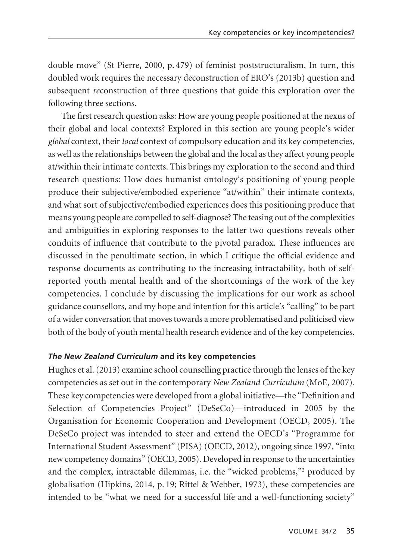double move" (St Pierre, 2000, p. 479) of feminist poststructuralism. In turn, this doubled work requires the necessary deconstruction of ERO's (2013b) question and subsequent *re*construction of three questions that guide this exploration over the following three sections.

The first research question asks: How are young people positioned at the nexus of their global and local contexts? Explored in this section are young people's wider *global* context, their *local* context of compulsory education and its key competencies, as well as the relationships between the global and the local as they affect young people at/within their intimate contexts. This brings my exploration to the second and third research questions: How does humanist ontology's positioning of young people produce their subjective/embodied experience "at/within" their intimate contexts, and what sort of subjective/embodied experiences does this positioning produce that means young people are compelled to self-diagnose? The teasing out of the complexities and ambiguities in exploring responses to the latter two questions reveals other conduits of influence that contribute to the pivotal paradox. These influences are discussed in the penultimate section, in which I critique the official evidence and response documents as contributing to the increasing intractability, both of selfreported youth mental health and of the shortcomings of the work of the key competencies. I conclude by discussing the implications for our work as school guidance counsellors, and my hope and intention for this article's "calling" to be part of a wider conversation that moves towards a more problematised and politicised view both of the body of youth mental health research evidence and of the key competencies.

## *The New Zealand Curriculum* **and its key competencies**

Hughes et al. (2013) examine school counselling practice through the lenses of the key competencies as set out in the contemporary *New Zealand Curriculum* (MoE, 2007). These key competencies were developed from a global initiative—the "Definition and Selection of Competencies Project" (DeSeCo)—introduced in 2005 by the Organisation for Economic Cooperation and Development (OECD, 2005). The DeSeCo project was intended to steer and extend the OECD's "Programme for International Student Assessment" (PISA) (OECD, 2012), ongoing since 1997, "into new competency domains" (OECD, 2005). Developed in response to the uncertainties and the complex, intractable dilemmas, i.e. the "wicked problems,"2 produced by globalisation (Hipkins, 2014, p. 19; Rittel & Webber, 1973), these competencies are intended to be "what we need for a successful life and a well-functioning society"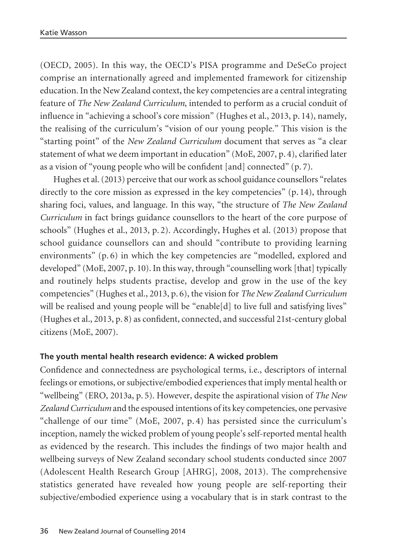(OECD, 2005). In this way, the OECD's PISA programme and DeSeCo project comprise an internationally agreed and implemented framework for citizenship education. In the New Zealand context, the key competencies are a central integrating feature of *The New Zealand Curriculum*, intended to perform as a crucial conduit of influence in "achieving a school's core mission" (Hughes et al., 2013, p. 14), namely, the realising of the curriculum's "vision of our young people." This vision is the "starting point" of the *New Zealand Curriculum* document that serves as "a clear statement of what we deem important in education" (MoE, 2007, p. 4), clarified later as a vision of "young people who will be confident [and] connected" (p. 7).

Hughes et al. (2013) perceive that our work as school guidance counsellors "relates directly to the core mission as expressed in the key competencies" (p. 14), through sharing foci, values, and language. In this way, "the structure of *The New Zealand Curriculum* in fact brings guidance counsellors to the heart of the core purpose of schools" (Hughes et al., 2013, p. 2). Accordingly, Hughes et al. (2013) propose that school guidance counsellors can and should "contribute to providing learning environments" (p. 6) in which the key competencies are "modelled, explored and developed" (MoE, 2007, p. 10). In this way, through "counselling work [that] typically and routinely helps students practise, develop and grow in the use of the key competencies" (Hughes et al., 2013, p. 6), the vision for *The New Zealand Curriculum* will be realised and young people will be "enable [d] to live full and satisfying lives" (Hughes et al., 2013, p. 8) as confident, connected, and successful 21st-century global citizens (MoE, 2007).

## **The youth mental health research evidence: A wicked problem**

Confidence and connectedness are psychological terms, i.e., descriptors of internal feelings or emotions, or subjective/embodied experiences that imply mental health or "wellbeing" (ERO, 2013a, p. 5). However, despite the aspirational vision of *The New Zealand Curriculum* and the espoused intentions of its key competencies, one pervasive "challenge of our time" (MoE, 2007, p. 4) has persisted since the curriculum's inception, namely the wicked problem of young people's self-reported mental health as evidenced by the research. This includes the findings of two major health and wellbeing surveys of New Zealand secondary school students conducted since 2007 (Adolescent Health Research Group [AHRG], 2008, 2013). The comprehensive statistics generated have revealed how young people are self-reporting their subjective/embodied experience using a vocabulary that is in stark contrast to the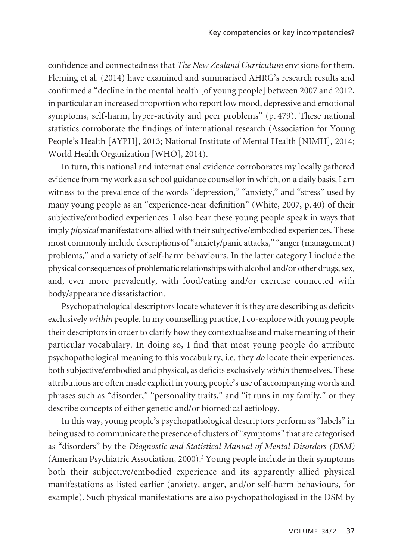confidence and connectedness that *The New Zealand Curriculum* envisions for them. Fleming et al. (2014) have examined and summarised AHRG's research results and confirmed a "decline in the mental health [of young people] between 2007 and 2012, in particular an increased proportion who report low mood, depressive and emotional symptoms, self-harm, hyper-activity and peer problems" (p. 479). These national statistics corroborate the findings of international research (Association for Young People's Health [AYPH], 2013; National Institute of Mental Health [NIMH], 2014; World Health Organization [WHO], 2014).

In turn, this national and international evidence corroborates my locally gathered evidence from my work as a school guidance counsellor in which, on a daily basis, I am witness to the prevalence of the words "depression," "anxiety," and "stress" used by many young people as an "experience-near definition" (White, 2007, p. 40) of their subjective/embodied experiences. I also hear these young people speak in ways that imply *physical* manifestations allied with their subjective/embodied experiences. These most commonly include descriptions of "anxiety/panic attacks," "anger (management) problems," and a variety of self-harm behaviours. In the latter category I include the physical consequences of problematic relationships with alcohol and/or other drugs, sex, and, ever more prevalently, with food/eating and/or exercise connected with body/appearance dissatisfaction.

Psychopathological descriptors locate whatever it is they are describing as deficits exclusively *within* people. In my counselling practice, I co-explore with young people their descriptors in order to clarify how they contextualise and make meaning of their particular vocabulary. In doing so, I find that most young people do attribute psychopathological meaning to this vocabulary, i.e. they *do* locate their experiences, both subjective/embodied and physical, as deficits exclusively *within* themselves. These attributions are often made explicit in young people's use of accompanying words and phrases such as "disorder," "personality traits," and "it runs in my family," or they describe concepts of either genetic and/or biomedical aetiology.

In this way, young people's psychopathological descriptors perform as "labels" in being used to communicate the presence of clusters of "symptoms" that are categorised as "disorders" by the *Diagnostic and Statistical Manual of Mental Disorders (DSM)* (American Psychiatric Association, 2000).3 Young people include in their symptoms both their subjective/embodied experience and its apparently allied physical manifestations as listed earlier (anxiety, anger, and/or self-harm behaviours, for example). Such physical manifestations are also psychopathologised in the DSM by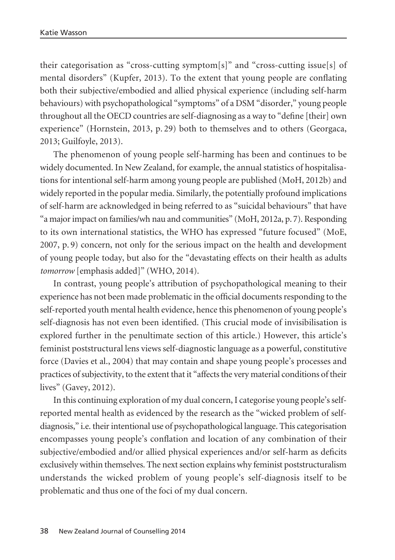their categorisation as "cross-cutting symptom[s]" and "cross-cutting issue[s] of mental disorders" (Kupfer, 2013). To the extent that young people are conflating both their subjective/embodied and allied physical experience (including self-harm behaviours) with psychopathological "symptoms" of a DSM "disorder," young people throughout all the OECD countries are self-diagnosing as a way to "define [their] own experience" (Hornstein, 2013, p. 29) both to themselves and to others (Georgaca, 2013; Guilfoyle, 2013).

The phenomenon of young people self-harming has been and continues to be widely documented. In New Zealand, for example, the annual statistics of hospitalisations for intentional self-harm among young people are published (MoH, 2012b) and widely reported in the popular media. Similarly, the potentially profound implications of self-harm are acknowledged in being referred to as "suicidal behaviours" that have "a major impact on families/wh nau and communities" (MoH, 2012a, p. 7). Responding to its own international statistics, the WHO has expressed "future focused" (MoE, 2007, p. 9) concern, not only for the serious impact on the health and development of young people today, but also for the "devastating effects on their health as adults *tomorrow* [emphasis added]" (WHO, 2014).

In contrast, young people's attribution of psychopathological meaning to their experience has not been made problematic in the official documents responding to the self-reported youth mental health evidence, hence this phenomenon of young people's self-diagnosis has not even been identified. (This crucial mode of invisibilisation is explored further in the penultimate section of this article.) However, this article's feminist poststructural lens views self-diagnostic language as a powerful, constitutive force (Davies et al., 2004) that may contain and shape young people's processes and practices of subjectivity, to the extent that it "affects the very material conditions of their lives" (Gavey, 2012).

In this continuing exploration of my dual concern, I categorise young people's selfreported mental health as evidenced by the research as the "wicked problem of selfdiagnosis," i.e. their intentional use of psychopathological language. This categorisation encompasses young people's conflation and location of any combination of their subjective/embodied and/or allied physical experiences and/or self-harm as deficits exclusively within themselves. The next section explains why feminist poststructuralism understands the wicked problem of young people's self-diagnosis itself to be problematic and thus one of the foci of my dual concern.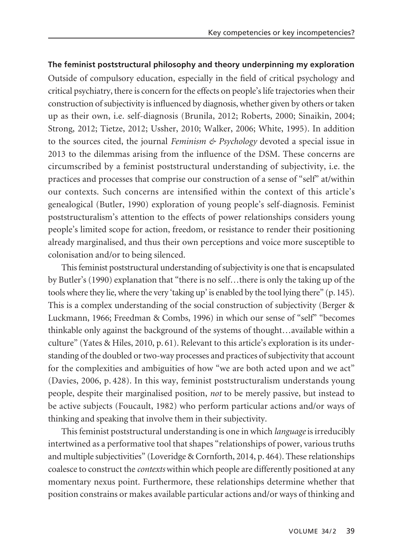## **The feminist poststructural philosophy and theory underpinning my exploration**

Outside of compulsory education, especially in the field of critical psychology and critical psychiatry, there is concern for the effects on people's life trajectories when their construction of subjectivity is influenced by diagnosis, whether given by others or taken up as their own, i.e. self-diagnosis (Brunila, 2012; Roberts, 2000; Sinaikin, 2004; Strong, 2012; Tietze, 2012; Ussher, 2010; Walker, 2006; White, 1995). In addition to the sources cited, the journal *Feminism & Psychology* devoted a special issue in 2013 to the dilemmas arising from the influence of the DSM. These concerns are circumscribed by a feminist poststructural understanding of subjectivity, i.e. the practices and processes that comprise our construction of a sense of "self" at/within our contexts. Such concerns are intensified within the context of this article's genealogical (Butler, 1990) exploration of young people's self-diagnosis. Feminist poststructuralism's attention to the effects of power relationships considers young people's limited scope for action, freedom, or resistance to render their positioning already marginalised, and thus their own perceptions and voice more susceptible to colonisation and/or to being silenced.

This feminist poststructural understanding of subjectivity is one that is encapsulated by Butler's (1990) explanation that "there is no self…there is only the taking up of the tools where they lie, where the very 'taking up' is enabled by the tool lying there" (p. 145). This is a complex understanding of the social construction of subjectivity (Berger & Luckmann, 1966; Freedman & Combs, 1996) in which our sense of "self" "becomes thinkable only against the background of the systems of thought…available within a culture" (Yates & Hiles, 2010, p. 61). Relevant to this article's exploration is its understanding of the doubled or two-way processes and practices of subjectivity that account for the complexities and ambiguities of how "we are both acted upon and we act" (Davies, 2006, p. 428). In this way, feminist poststructuralism understands young people, despite their marginalised position, *not* to be merely passive, but instead to be active subjects (Foucault, 1982) who perform particular actions and/or ways of thinking and speaking that involve them in their subjectivity.

This feminist poststructural understanding is one in which *language*is irreducibly intertwined as a performative tool that shapes "relationships of power, various truths and multiple subjectivities" (Loveridge & Cornforth, 2014, p. 464). These relationships coalesce to construct the *contexts* within which people are differently positioned at any momentary nexus point. Furthermore, these relationships determine whether that position constrains or makes available particular actions and/or ways of thinking and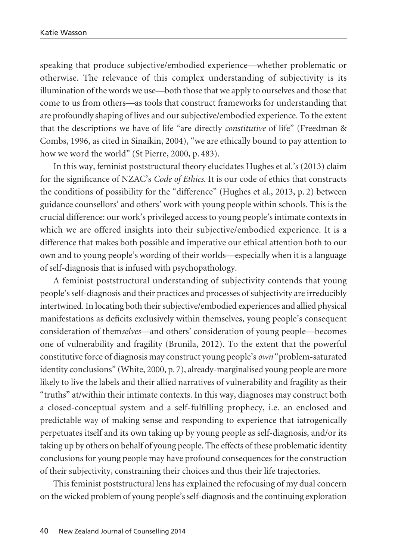speaking that produce subjective/embodied experience—whether problematic or otherwise. The relevance of this complex understanding of subjectivity is its illumination of the words we use—both those that we apply to ourselves and those that come to us from others—as tools that construct frameworks for understanding that are profoundly shaping of lives and our subjective/embodied experience. To the extent that the descriptions we have of life "are directly *constitutive* of life" (Freedman & Combs, 1996, as cited in Sinaikin, 2004), "we are ethically bound to pay attention to how we word the world" (St Pierre, 2000, p. 483).

In this way, feminist poststructural theory elucidates Hughes et al.'s (2013) claim for the significance of NZAC's *Code of Ethics*. It is our code of ethics that constructs the conditions of possibility for the "difference" (Hughes et al., 2013, p. 2) between guidance counsellors' and others' work with young people within schools. This is the crucial difference: our work's privileged access to young people's intimate contexts in which we are offered insights into their subjective/embodied experience. It is a difference that makes both possible and imperative our ethical attention both to our own and to young people's wording of their worlds—especially when it is a language of self-diagnosis that is infused with psychopathology.

A feminist poststructural understanding of subjectivity contends that young people's self-diagnosis and their practices and processes of subjectivity are irreducibly intertwined. In locating both their subjective/embodied experiences and allied physical manifestations as deficits exclusively within themselves, young people's consequent consideration of them*selves*—and others' consideration of young people—becomes one of vulnerability and fragility (Brunila, 2012). To the extent that the powerful constitutive force of diagnosis may construct young people's *own* "problem-saturated identity conclusions" (White, 2000, p. 7), already-marginalised young people are more likely to live the labels and their allied narratives of vulnerability and fragility as their "truths" at/within their intimate contexts. In this way, diagnoses may construct both a closed-conceptual system and a self-fulfilling prophecy, i.e. an enclosed and predictable way of making sense and responding to experience that iatrogenically perpetuates itself and its own taking up by young people as self-diagnosis, and/or its taking up by others on behalf of young people. The effects of these problematic identity conclusions for young people may have profound consequences for the construction of their subjectivity, constraining their choices and thus their life trajectories.

This feminist poststructural lens has explained the refocusing of my dual concern on the wicked problem of young people's self-diagnosis and the continuing exploration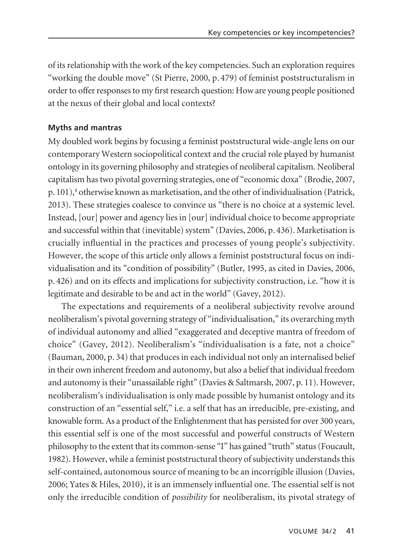of its relationship with the work of the key competencies. Such an exploration requires "working the double move" (St Pierre, 2000, p. 479) of feminist poststructuralism in order to offer responses to my first research question: How are young people positioned at the nexus of their global and local contexts?

# **Myths and mantras**

My doubled work begins by focusing a feminist poststructural wide-angle lens on our contemporary Western sociopolitical context and the crucial role played by humanist ontology in its governing philosophy and strategies of neoliberal capitalism. Neoliberal capitalism has two pivotal governing strategies, one of "economic doxa" (Brodie, 2007,  $p. 101$ ,<sup>4</sup> otherwise known as marketisation, and the other of individualisation (Patrick, 2013). These strategies coalesce to convince us "there is no choice at a systemic level. Instead, [our] power and agency lies in [our] individual choice to become appropriate and successful within that (inevitable) system" (Davies, 2006, p. 436). Marketisation is crucially influential in the practices and processes of young people's subjectivity. However, the scope of this article only allows a feminist poststructural focus on individualisation and its "condition of possibility" (Butler, 1995, as cited in Davies, 2006, p. 426) and on its effects and implications for subjectivity construction, i.e. "how it is legitimate and desirable to be and act in the world" (Gavey, 2012).

The expectations and requirements of a neoliberal subjectivity revolve around neoliberalism's pivotal governing strategy of "individualisation," its overarching myth of individual autonomy and allied "exaggerated and deceptive mantra of freedom of choice" (Gavey, 2012). Neoliberalism's "individualisation is a fate, not a choice" (Bauman, 2000, p. 34) that produces in each individual not only an internalised belief in their own inherent freedom and autonomy, but also a belief that individual freedom and autonomy is their "unassailable right" (Davies & Saltmarsh, 2007, p. 11). However, neoliberalism's individualisation is only made possible by humanist ontology and its construction of an "essential self," i.e. a self that has an irreducible, pre-existing, and knowable form. As a product of the Enlightenment that has persisted for over 300 years, this essential self is one of the most successful and powerful constructs of Western philosophy to the extent that its common-sense "I" has gained "truth" status (Foucault, 1982). However, while a feminist poststructural theory of subjectivity understands this self-contained, autonomous source of meaning to be an incorrigible illusion (Davies, 2006; Yates & Hiles, 2010), it is an immensely influential one. The essential self is not only the irreducible condition of *possibility* for neoliberalism, its pivotal strategy of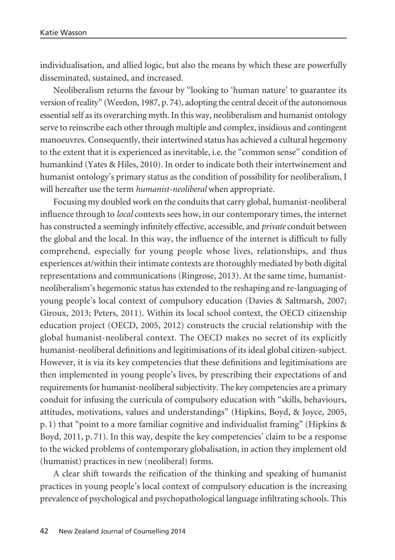individualisation, and allied logic, but also the means by which these are powerfully disseminated, sustained, and increased.

Neoliberalism returns the favour by "looking to 'human nature' to guarantee its version of reality" (Weedon, 1987, p. 74), adopting the central deceit of the autonomous essential self as its overarching myth. In this way, neoliberalism and humanist ontology serve to reinscribe each other through multiple and complex, insidious and contingent manoeuvres. Consequently, their intertwined status has achieved a cultural hegemony to the extent that it is experienced as inevitable, i.e. the "common sense" condition of humankind (Yates & Hiles, 2010). In order to indicate both their intertwinement and humanist ontology's primary status as the condition of possibility for neoliberalism, I will hereafter use the term *humanist-neoliberal* when appropriate.

Focusing my doubled work on the conduits that carry global, humanist-neoliberal influence through to *local* contexts sees how, in our contemporary times, the internet has constructed a seemingly infinitely effective, accessible, and *private* conduit between the global and the local. In this way, the influence of the internet is difficult to fully comprehend, especially for young people whose lives, relationships, and thus experiences at/within their intimate contexts are thoroughly mediated by both digital representations and communications (Ringrose, 2013). At the same time, humanistneoliberalism's hegemonic status has extended to the reshaping and re-languaging of young people's local context of compulsory education (Davies & Saltmarsh, 2007; Giroux, 2013; Peters, 2011). Within its local school context, the OECD citizenship education project (OECD, 2005, 2012) constructs the crucial relationship with the global humanist-neoliberal context. The OECD makes no secret of its explicitly humanist-neoliberal definitions and legitimisations of its ideal global citizen-subject. However, it is via its key competencies that these definitions and legitimisations are then implemented in young people's lives, by prescribing their expectations of and requirements for humanist-neoliberal subjectivity. The key competencies are a primary conduit for infusing the curricula of compulsory education with "skills, behaviours, attitudes, motivations, values and understandings" (Hipkins, Boyd, & Joyce, 2005, p. 1) that "point to a more familiar cognitive and individualist framing" (Hipkins & Boyd, 2011, p. 71). In this way, despite the key competencies' claim to be a response to the wicked problems of contemporary globalisation, in action they implement old (humanist) practices in new (neoliberal) forms.

A clear shift towards the reification of the thinking and speaking of humanist practices in young people's local context of compulsory education is the increasing prevalence of psychological and psychopathological language infiltrating schools. This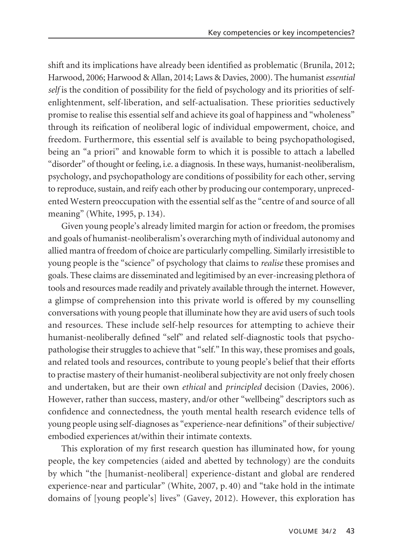shift and its implications have already been identified as problematic (Brunila, 2012; Harwood, 2006; Harwood & Allan, 2014; Laws & Davies, 2000). The humanist *essential self* is the condition of possibility for the field of psychology and its priorities of selfenlightenment, self-liberation, and self-actualisation. These priorities seductively promise to realise this essential self and achieve its goal of happiness and "wholeness" through its reification of neoliberal logic of individual empowerment, choice, and freedom. Furthermore, this essential self is available to being psychopathologised, being an "a priori" and knowable form to which it is possible to attach a labelled "disorder" of thought or feeling, i.e. a diagnosis. In these ways, humanist-neoliberalism, psychology, and psychopathology are conditions of possibility for each other, serving to reproduce, sustain, and reify each other by producing our contemporary, unpreced ented Western preoccupation with the essential self as the "centre of and source of all meaning" (White, 1995, p. 134).

Given young people's already limited margin for action or freedom, the promises and goals of humanist-neoliberalism's overarching myth of individual autonomy and allied mantra of freedom of choice are particularly compelling. Similarly irresistible to young people is the "science" of psychology that claims to *realise* these promises and goals. These claims are disseminated and legitimised by an ever-increasing plethora of tools and resources made readily and privately available through the internet. However, a glimpse of comprehension into this private world is offered by my counselling conversations with young people that illuminate how they are avid users of such tools and resources. These include self-help resources for attempting to achieve their humanist-neoliberally defined "self" and related self-diagnostic tools that psychopathologise their struggles to achieve that "self." In this way, these promises and goals, and related tools and resources, contribute to young people's belief that their efforts to practise mastery of their humanist-neoliberal subjectivity are not only freely chosen and undertaken, but are their own *ethical* and *principled* decision (Davies, 2006). However, rather than success, mastery, and/or other "wellbeing" descriptors such as confidence and connectedness, the youth mental health research evidence tells of young people using self-diagnoses as "experience-near definitions" of their subjective/ embodied experiences at/within their intimate contexts.

This exploration of my first research question has illuminated how, for young people, the key competencies (aided and abetted by technology) are the conduits by which "the [humanist-neoliberal] experience-distant and global are rendered experience-near and particular" (White, 2007, p. 40) and "take hold in the intimate domains of [young people's] lives" (Gavey, 2012). However, this exploration has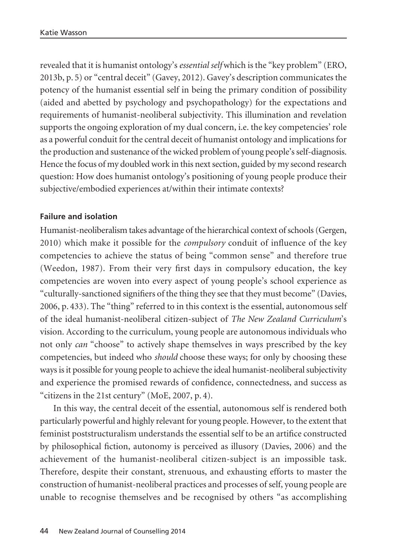revealed that it is humanist ontology's *essential self* which is the "key problem" (ERO, 2013b, p. 5) or "central deceit" (Gavey, 2012). Gavey's description communicates the potency of the humanist essential self in being the primary condition of possibility (aided and abetted by psychology and psychopathology) for the expectations and requirements of humanist-neoliberal subjectivity. This illumination and revelation supports the ongoing exploration of my dual concern, i.e. the key competencies' role as a powerful conduit for the central deceit of humanist ontology and implications for the production and sustenance of the wicked problem of young people's self-diagnosis. Hence the focus of my doubled work in this next section, guided by my second research question: How does humanist ontology's positioning of young people produce their subjective/embodied experiences at/within their intimate contexts?

# **Failure and isolation**

Humanist-neoliberalism takes advantage of the hierarchical context of schools (Gergen, 2010) which make it possible for the *compulsory* conduit of influence of the key competencies to achieve the status of being "common sense" and therefore true (Weedon, 1987). From their very first days in compulsory education, the key competencies are woven into every aspect of young people's school experience as "culturally-sanctioned signifiers of the thing they see that they must become" (Davies, 2006, p. 433). The "thing" referred to in this context is the essential, autonomous self of the ideal humanist-neoliberal citizen-subject of *The New Zealand Curriculum*'s vision. According to the curriculum, young people are autonomous individuals who not only *can* "choose" to actively shape themselves in ways prescribed by the key competencies, but indeed who *should* choose these ways; for only by choosing these ways is it possible for young people to achieve the ideal humanist-neoliberal subjectivity and experience the promised rewards of confidence, connectedness, and success as "citizens in the 21st century" (MoE, 2007, p. 4).

In this way, the central deceit of the essential, autonomous self is rendered both particularly powerful and highly relevant for young people. However, to the extent that feminist poststructuralism understands the essential self to be an artifice constructed by philosophical fiction, autonomy is perceived as illusory (Davies, 2006) and the achievement of the humanist-neoliberal citizen-subject is an impossible task. Therefore, despite their constant, strenuous, and exhausting efforts to master the construction of humanist-neoliberal practices and processes of self, young people are unable to recognise themselves and be recognised by others "as accomplishing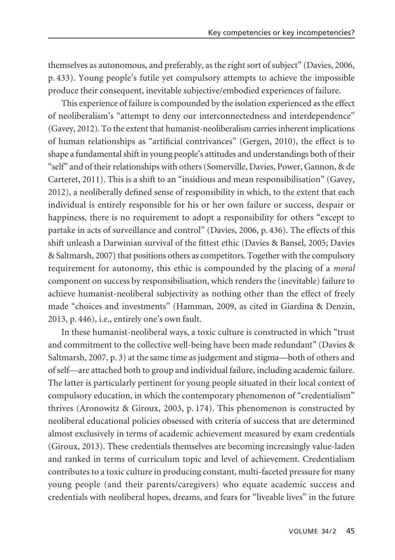themselves as autonomous, and preferably, as the right sort of subject" (Davies, 2006, p. 433). Young people's futile yet compulsory attempts to achieve the impossible produce their consequent, inevitable subjective/embodied experiences of failure.

This experience of failure is compounded by the isolation experienced as the effect of neoliberalism's "attempt to deny our interconnectedness and interdependence" (Gavey, 2012). To the extent that humanist-neoliberalism carries inherent implications of human relationships as "artificial contrivances" (Gergen, 2010), the effect is to shape a fundamental shift in young people's attitudes and understandings both of their "self" and of their relationships with others (Somerville, Davies, Power, Gannon, & de Carteret, 2011). This is a shift to an "insidious and mean responsibilisation" (Gavey, 2012), a neoliberally defined sense of responsibility in which, to the extent that each individual is entirely responsible for his or her own failure or success, despair or happiness, there is no requirement to adopt a responsibility for others "except to partake in acts of surveillance and control" (Davies, 2006, p. 436). The effects of this shift unleash a Darwinian survival of the fittest ethic (Davies & Bansel, 2005; Davies & Saltmarsh, 2007) that positions others as competitors. Together with the compulsory requirement for autonomy, this ethic is compounded by the placing of a *moral* component on success by responsibilisation, which renders the (inevitable) failure to achieve humanist-neoliberal subjectivity as nothing other than the effect of freely made "choices and investments" (Hamman, 2009, as cited in Giardina & Denzin, 2013, p. 446), i.e., entirely one's own fault.

In these humanist-neoliberal ways, a toxic culture is constructed in which "trust and commitment to the collective well-being have been made redundant" (Davies & Saltmarsh, 2007, p. 3) at the same time as judgement and stigma—both of others and of self—are attached both to group and individual failure, including academic failure. The latter is particularly pertinent for young people situated in their local context of compulsory education, in which the contemporary phenomenon of "credentialism" thrives (Aronowitz & Giroux, 2003, p. 174). This phenomenon is constructed by neoliberal educational policies obsessed with criteria of success that are determined almost exclusively in terms of academic achievement measured by exam credentials (Giroux, 2013). These credentials themselves are becoming increasingly value-laden and ranked in terms of curriculum topic and level of achievement. Credentialism contributes to a toxic culture in producing constant, multi-faceted pressure for many young people (and their parents/caregivers) who equate academic success and credentials with neoliberal hopes, dreams, and fears for "liveable lives" in the future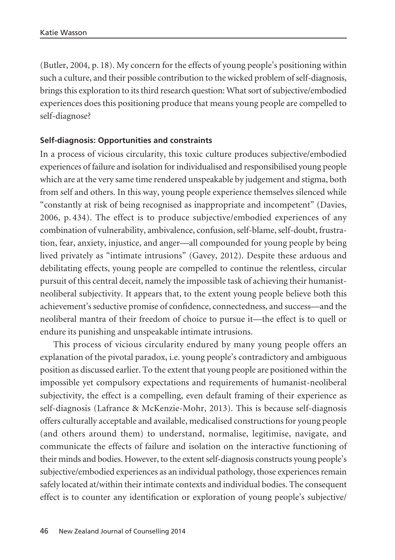(Butler, 2004, p. 18). My concern for the effects of young people's positioning within such a culture, and their possible contribution to the wicked problem of self-diagnosis, brings this exploration to its third research question: What sort of subjective/embodied experiences does this positioning produce that means young people are compelled to self-diagnose?

# **Self-diagnosis: Opportunities and constraints**

In a process of vicious circularity, this toxic culture produces subjective/embodied experiences of failure and isolation for individualised and responsibilised young people which are at the very same time rendered unspeakable by judgement and stigma, both from self and others. In this way, young people experience themselves silenced while "constantly at risk of being recognised as inappropriate and incompetent" (Davies, 2006, p. 434). The effect is to produce subjective/embodied experiences of any combination of vulnerability, ambivalence, confusion, self-blame, self-doubt, frustra tion, fear, anxiety, injustice, and anger—all compounded for young people by being lived privately as "intimate intrusions" (Gavey, 2012). Despite these arduous and debilitating effects, young people are compelled to continue the relentless, circular pursuit of this central deceit, namely the impossible task of achieving their humanistneoliberal subjectivity. It appears that, to the extent young people believe both this achievement's seductive promise of confidence, connectedness, and success—and the neoliberal mantra of their freedom of choice to pursue it—the effect is to quell or endure its punishing and unspeakable intimate intrusions.

This process of vicious circularity endured by many young people offers an explanation of the pivotal paradox, i.e. young people's contradictory and ambiguous position as discussed earlier. To the extent that young people are positioned within the impossible yet compulsory expectations and requirements of humanist-neoliberal subjectivity, the effect is a compelling, even default framing of their experience as self-diagnosis (Lafrance & McKenzie-Mohr, 2013). This is because self-diagnosis offers culturally acceptable and available, medicalised constructions for young people (and others around them) to understand, normalise, legitimise, navigate, and communicate the effects of failure and isolation on the interactive functioning of their minds and bodies. However, to the extent self-diagnosis constructs young people's subjective/embodied experiences as an individual pathology, those experiences remain safely located at/within their intimate contexts and individual bodies. The consequent effect is to counter any identification or exploration of young people's subjective/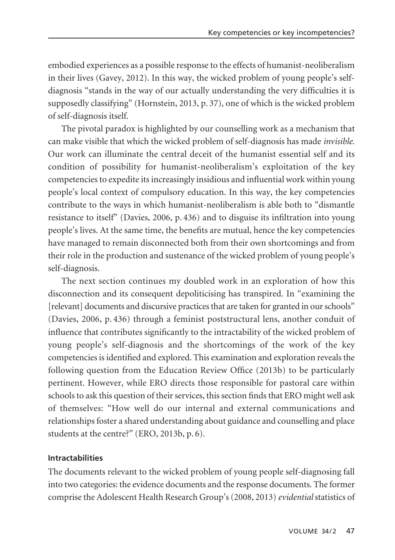embodied experiences as a possible response to the effects of humanist-neoliberalism in their lives (Gavey, 2012). In this way, the wicked problem of young people's selfdiagnosis "stands in the way of our actually understanding the very difficulties it is supposedly classifying" (Hornstein, 2013, p. 37), one of which is the wicked problem of self-diagnosis itself.

The pivotal paradox is highlighted by our counselling work as a mechanism that can make visible that which the wicked problem of self-diagnosis has made *invisible*. Our work can illuminate the central deceit of the humanist essential self and its condition of possibility for humanist-neoliberalism's exploitation of the key competencies to expedite its increasingly insidious and influential work within young people's local context of compulsory education. In this way, the key competencies contribute to the ways in which humanist-neoliberalism is able both to "dismantle resistance to itself" (Davies, 2006, p. 436) and to disguise its infiltration into young people's lives. At the same time, the benefits are mutual, hence the key competencies have managed to remain disconnected both from their own shortcomings and from their role in the production and sustenance of the wicked problem of young people's self-diagnosis.

The next section continues my doubled work in an exploration of how this disconnection and its consequent depoliticising has transpired. In "examining the [relevant] documents and discursive practices that are taken for granted in our schools" (Davies, 2006, p. 436) through a feminist poststructural lens, another conduit of influence that contributes significantly to the intractability of the wicked problem of young people's self-diagnosis and the shortcomings of the work of the key competencies is identified and explored. This examination and exploration reveals the following question from the Education Review Office (2013b) to be particularly pertinent. However, while ERO directs those responsible for pastoral care within schools to ask this question of their services, this section finds that ERO might well ask of themselves: "How well do our internal and external communications and relationships foster a shared understanding about guidance and counselling and place students at the centre?" (ERO, 2013b, p. 6).

#### **Intractabilities**

The documents relevant to the wicked problem of young people self-diagnosing fall into two categories: the evidence documents and the response documents. The former comprise the Adolescent Health Research Group's (2008, 2013) *evidential* statistics of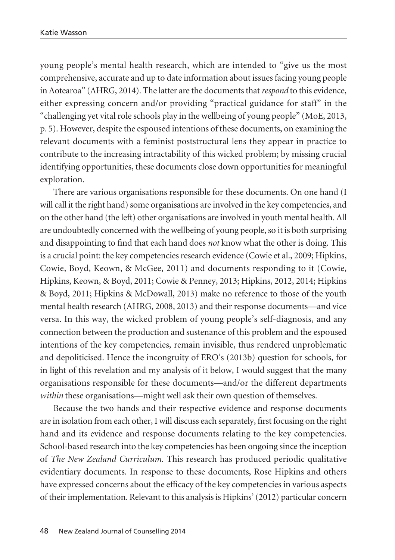young people's mental health research, which are intended to "give us the most comprehensive, accurate and up to date information about issues facing young people in Aotearoa" (AHRG, 2014). The latter are the documents that *respond* to this evidence, either expressing concern and/or providing "practical guidance for staff" in the "challenging yet vital role schools play in the wellbeing of young people" (MoE, 2013, p. 5). However, despite the espoused intentions of these documents, on examining the relevant documents with a feminist poststructural lens they appear in practice to contribute to the increasing intractability of this wicked problem; by missing crucial identifying opportunities, these documents close down opportunities for meaningful exploration.

There are various organisations responsible for these documents. On one hand (I will call it the right hand) some organisations are involved in the key competencies, and on the other hand (the left) other organisations are involved in youth mental health. All are undoubtedly concerned with the wellbeing of young people, so it is both surprising and disappointing to find that each hand does *not* know what the other is doing. This is a crucial point: the key competencies research evidence (Cowie et al., 2009; Hipkins, Cowie, Boyd, Keown, & McGee, 2011) and documents responding to it (Cowie, Hipkins, Keown, & Boyd, 2011; Cowie & Penney, 2013; Hipkins, 2012, 2014; Hipkins & Boyd, 2011; Hipkins & McDowall, 2013) make no reference to those of the youth mental health research (AHRG, 2008, 2013) and their response documents—and vice versa. In this way, the wicked problem of young people's self-diagnosis, and any connection between the production and sustenance of this problem and the espoused intentions of the key competencies, remain invisible, thus rendered unproblematic and depoliticised. Hence the incongruity of ERO's (2013b) question for schools, for in light of this revelation and my analysis of it below, I would suggest that the many organisations responsible for these documents—and/or the different departments *within* these organisations—might well ask their own question of themselves.

Because the two hands and their respective evidence and response documents are in isolation from each other, I will discuss each separately, first focusing on the right hand and its evidence and response documents relating to the key competencies. School-based research into the key competencies has been ongoing since the inception of *The New Zealand Curriculum*. This research has produced periodic qualitative evidentiary documents. In response to these documents, Rose Hipkins and others have expressed concerns about the efficacy of the key competencies in various aspects of their implementation. Relevant to this analysis is Hipkins' (2012) particular concern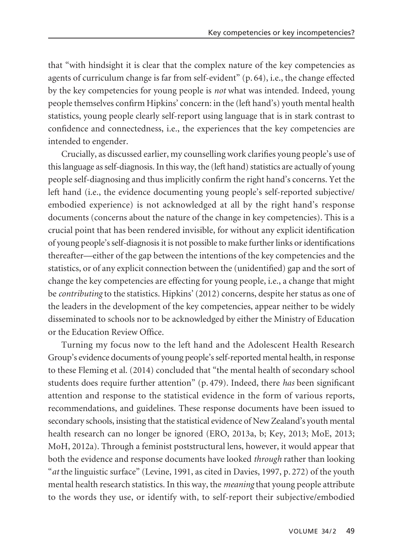that "with hindsight it is clear that the complex nature of the key competencies as agents of curriculum change is far from self-evident" (p. 64), i.e., the change effected by the key competencies for young people is *not* what was intended. Indeed, young people themselves confirm Hipkins' concern: in the (left hand's) youth mental health statistics, young people clearly self-report using language that is in stark contrast to confidence and connectedness, i.e., the experiences that the key competencies are intended to engender.

Crucially, as discussed earlier, my counselling work clarifies young people's use of this language as self-diagnosis. In this way, the (left hand) statistics are actually of young people self-diagnosing and thus implicitly confirm the right hand's concerns. Yet the left hand (i.e., the evidence documenting young people's self-reported subjective/ embodied experience) is not acknowledged at all by the right hand's response documents (concerns about the nature of the change in key competencies). This is a crucial point that has been rendered invisible, for without any explicit identification of young people's self-diagnosis it is not possible to make further links or identifications thereafter—either of the gap between the intentions of the key competencies and the statistics, or of any explicit connection between the (unidentified) gap and the sort of change the key competencies are effecting for young people, i.e., a change that might be *contributing* to the statistics. Hipkins' (2012) concerns, despite her status as one of the leaders in the development of the key competencies, appear neither to be widely disseminated to schools nor to be acknowledged by either the Ministry of Education or the Education Review Office.

Turning my focus now to the left hand and the Adolescent Health Research Group's evidence documents of young people's self-reported mental health, in response to these Fleming et al. (2014) concluded that "the mental health of secondary school students does require further attention" (p. 479). Indeed, there *has* been significant attention and response to the statistical evidence in the form of various reports, recommendations, and guidelines. These response documents have been issued to secondary schools, insisting that the statistical evidence of New Zealand's youth mental health research can no longer be ignored (ERO, 2013a, b; Key, 2013; MoE, 2013; MoH, 2012a). Through a feminist poststructural lens, however, it would appear that both the evidence and response documents have looked *through* rather than looking "*at* the linguistic surface" (Levine, 1991, as cited in Davies, 1997, p. 272) of the youth mental health research statistics. In this way, the *meaning* that young people attribute to the words they use, or identify with, to self-report their subjective/embodied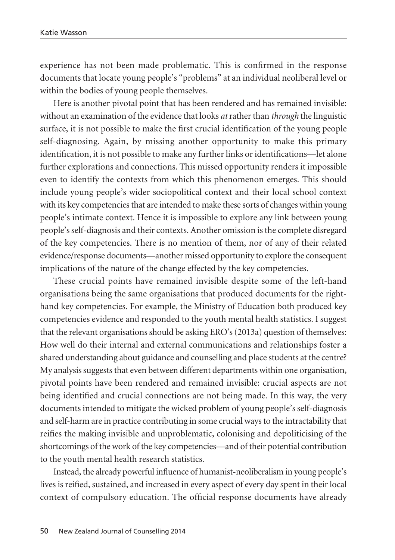experience has not been made problematic. This is confirmed in the response documents that locate young people's "problems" at an individual neoliberal level or within the bodies of young people themselves.

Here is another pivotal point that has been rendered and has remained invisible: without an examination of the evidence that looks *at*rather than *through* the linguistic surface, it is not possible to make the first crucial identification of the young people self-diagnosing. Again, by missing another opportunity to make this primary identification, it is not possible to make any further links or identifications—let alone further explorations and connections. This missed opportunity renders it impossible even to identify the contexts from which this phenomenon emerges. This should include young people's wider sociopolitical context and their local school context with its key competencies that are intended to make these sorts of changes within young people's intimate context. Hence it is impossible to explore any link between young people's self-diagnosis and their contexts. Another omission is the complete disregard of the key competencies. There is no mention of them, nor of any of their related evidence/response documents—another missed opportunity to explore the consequent implications of the nature of the change effected by the key competencies.

These crucial points have remained invisible despite some of the left-hand organisations being the same organisations that produced documents for the righthand key competencies. For example, the Ministry of Education both produced key competencies evidence and responded to the youth mental health statistics. I suggest that the relevant organisations should be asking ERO's (2013a) question of themselves: How well do their internal and external communications and relationships foster a shared understanding about guidance and counselling and place students at the centre? My analysis suggests that even between different departments within one organisation, pivotal points have been rendered and remained invisible: crucial aspects are not being identified and crucial connections are not being made. In this way, the very documents intended to mitigate the wicked problem of young people's self-diagnosis and self-harm are in practice contributing in some crucial ways to the intractability that reifies the making invisible and unproblematic, colonising and depoliticising of the shortcomings of the work of the key competencies—and of their potential contribution to the youth mental health research statistics.

Instead, the already powerful influence of humanist-neoliberalism in young people's lives is reified, sustained, and increased in every aspect of every day spent in their local context of compulsory education. The official response documents have already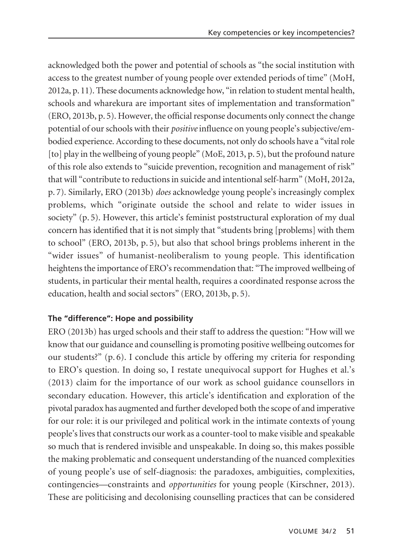acknowledged both the power and potential of schools as "the social institution with access to the greatest number of young people over extended periods of time" (MoH, 2012a, p. 11). These documents acknowledge how, "in relation to student mental health, schools and wharekura are important sites of implementation and transformation" (ERO, 2013b, p. 5). However, the official response documents only connect the change potential of our schools with their *positive* influence on young people's subjective/embodied experience. According to these documents, not only do schools have a "vital role [to] play in the wellbeing of young people" (MoE, 2013, p. 5), but the profound nature of this role also extends to "suicide prevention, recognition and management of risk" that will "contribute to reductions in suicide and intentional self-harm" (MoH, 2012a, p. 7). Similarly, ERO (2013b) *does* acknowledge young people's increasingly complex problems, which "originate outside the school and relate to wider issues in society" (p. 5). However, this article's feminist poststructural exploration of my dual concern has identified that it is not simply that "students bring [problems] with them to school" (ERO, 2013b, p. 5), but also that school brings problems inherent in the "wider issues" of humanist-neoliberalism to young people. This identification heightens the importance of ERO's recommendation that: "The improved wellbeing of students, in particular their mental health, requires a coordinated response across the education, health and social sectors" (ERO, 2013b, p. 5).

# **The "difference": Hope and possibility**

ERO (2013b) has urged schools and their staff to address the question: "How will we know that our guidance and counselling is promoting positive wellbeing outcomes for our students?"  $(p, 6)$ . I conclude this article by offering my criteria for responding to ERO's question. In doing so, I restate unequivocal support for Hughes et al.'s (2013) claim for the importance of our work as school guidance counsellors in secondary education. However, this article's identification and exploration of the pivotal paradox has augmented and further developed both the scope of and imperative for our role: it is our privileged and political work in the intimate contexts of young people's lives that constructs our work as a counter-tool to make visible and speakable so much that is rendered invisible and unspeakable. In doing so, this makes possible the making problematic and consequent understanding of the nuanced complexities of young people's use of self-diagnosis: the paradoxes, ambiguities, complexities, contingencies—constraints and *opportunities* for young people (Kirschner, 2013). These are politicising and decolonising counselling practices that can be considered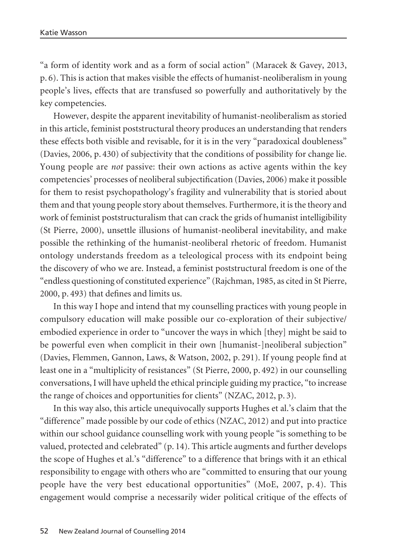"a form of identity work and as a form of social action" (Maracek & Gavey, 2013, p. 6). This is action that makes visible the effects of humanist-neoliberalism in young people's lives, effects that are transfused so powerfully and authoritatively by the key competencies.

However, despite the apparent inevitability of humanist-neoliberalism as storied in this article, feminist poststructural theory produces an understanding that renders these effects both visible and revisable, for it is in the very "paradoxical doubleness" (Davies, 2006, p. 430) of subjectivity that the conditions of possibility for change lie. Young people are *not* passive: their own actions as active agents within the key competencies' processes of neoliberal subjectification (Davies, 2006) make it possible for them to resist psychopathology's fragility and vulnerability that is storied about them and that young people story about themselves. Furthermore, it is the theory and work of feminist poststructuralism that can crack the grids of humanist intelligibility (St Pierre, 2000), unsettle illusions of humanist-neoliberal inevitability, and make possible the rethinking of the humanist-neoliberal rhetoric of freedom. Humanist ontology understands freedom as a teleological process with its endpoint being the discovery of who we are. Instead, a feminist poststructural freedom is one of the "endless questioning of constituted experience" (Rajchman, 1985, as cited in St Pierre, 2000, p. 493) that defines and limits us.

In this way I hope and intend that my counselling practices with young people in compulsory education will make possible our co-exploration of their subjective/ embodied experience in order to "uncover the ways in which [they] might be said to be powerful even when complicit in their own [humanist-]neoliberal subjection" (Davies, Flemmen, Gannon, Laws, & Watson, 2002, p. 291). If young people find at least one in a "multiplicity of resistances" (St Pierre, 2000, p. 492) in our counselling conversations, I will have upheld the ethical principle guiding my practice, "to increase the range of choices and opportunities for clients" (NZAC, 2012, p. 3).

In this way also, this article unequivocally supports Hughes et al.'s claim that the "difference" made possible by our code of ethics (NZAC, 2012) and put into practice within our school guidance counselling work with young people "is something to be valued, protected and celebrated" (p. 14). This article augments and further develops the scope of Hughes et al.'s "difference" to a difference that brings with it an ethical responsibility to engage with others who are "committed to ensuring that our young people have the very best educational opportunities" (MoE, 2007, p. 4). This engagement would comprise a necessarily wider political critique of the effects of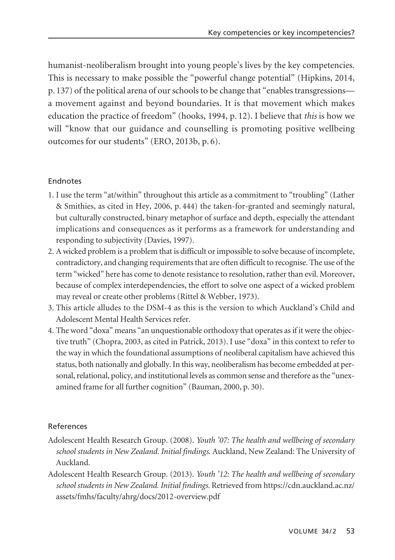humanist-neoliberalism brought into young people's lives by the key competencies. This is necessary to make possible the "powerful change potential" (Hipkins, 2014, p. 137) of the political arena of our schools to be change that "enables transgressions a movement against and beyond boundaries. It is that movement which makes education the practice of freedom" (hooks, 1994, p. 12). I believe that *this* is how we will "know that our guidance and counselling is promoting positive wellbeing outcomes for our students" (ERO, 2013b, p. 6).

## Endnotes

- 1. I use the term "at/within" throughout this article as a commitment to "troubling" (Lather & Smithies, as cited in Hey, 2006, p. 444) the taken-for-granted and seemingly natural, but culturally constructed, binary metaphor of surface and depth, especially the attendant implications and consequences as it performs as a framework for understanding and responding to subjectivity (Davies, 1997).
- 2. A wicked problem is a problem that is difficult or impossible to solve because of incomplete, contradictory, and changing requirements that are often difficult to recognise. The use of the term "wicked" here has come to denote resistance to resolution, rather than evil. Moreover, because of complex interdependencies, the effort to solve one aspect of a wicked problem may reveal or create other problems (Rittel & Webber, 1973).
- 3. This article alludes to the DSM-4 as this is the version to which Auckland's Child and Adolescent Mental Health Services refer.
- 4. The word "doxa" means "an unquestionable orthodoxy that operates as if it were the objective truth" (Chopra, 2003, as cited in Patrick, 2013). I use "doxa" in this context to refer to the way in which the foundational assumptions of neoliberal capitalism have achieved this status, both nationally and globally. In this way, neoliberalism has become embedded at personal, relational, policy, and institutional levels as common sense and therefore as the "unexamined frame for all further cognition" (Bauman, 2000, p. 30).

## References

- Adolescent Health Research Group. (2008). *Youth '07: The health and wellbeing of secondary school students in New Zealand. Initial findings*. Auckland, New Zealand: The University of Auckland.
- Adolescent Health Research Group. (2013). *Youth '12: The health and wellbeing of secondary school students in New Zealand. Initial findings.* Retrieved from https://cdn.auckland.ac.nz/ assets/fmhs/faculty/ahrg/docs/2012-overview.pdf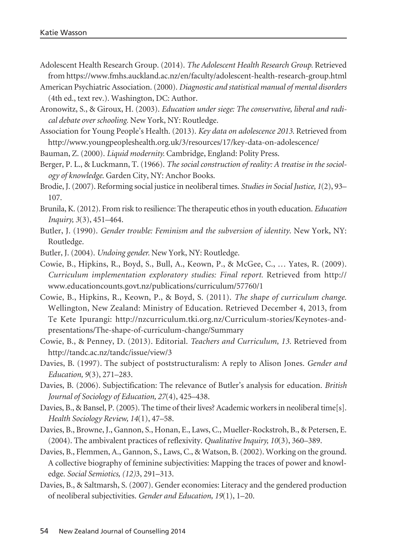Adolescent Health Research Group. (2014). *The Adolescent Health Research Group.* Retrieved from https://www.fmhs.auckland.ac.nz/en/faculty/adolescent-health-research-group.html

American Psychiatric Association. (2000). *Diagnostic and statistical manual of mental disorders* (4th ed., text rev.). Washington, DC: Author.

Aronowitz, S., & Giroux, H. (2003). *Education under siege: The conservative, liberal and radical debate over schooling.* New York, NY: Routledge.

Association for Young People's Health. (2013). *Key data on adolescence 2013.* Retrieved from http://www.youngpeopleshealth.org.uk/3/resources/17/key-data-on-adolescence/

Bauman, Z. (2000). *Liquid modernity.* Cambridge, England: Polity Press.

Berger, P. L., & Luckmann, T. (1966). *The social construction of reality: A treatise in the sociology of knowledge*. Garden City, NY: Anchor Books.

- Brodie, J. (2007). Reforming social justice in neoliberal times. *Studies in Social Justice, 1*(2), 93– 107.
- Brunila, K. (2012). From risk to resilience: The therapeutic ethos in youth education. *Education Inquiry, 3*(3), 451–464.
- Butler, J. (1990). *Gender trouble: Feminism and the subversion of identity*. New York, NY: Routledge.
- Butler, J. (2004). *Undoing gender.* New York, NY: Routledge.
- Cowie, B., Hipkins, R., Boyd, S., Bull, A., Keown, P., & McGee, C., … Yates, R. (2009). *Curriculum implementation exploratory studies: Final report.* Retrieved from http:// www.educationcounts.govt.nz/publications/curriculum/57760/1
- Cowie, B., Hipkins, R., Keown, P., & Boyd, S. (2011). *The shape of curriculum change.* Wellington, New Zealand: Ministry of Education. Retrieved December 4, 2013, from Te Kete Ipurangi: http://nzcurriculum.tki.org.nz/Curriculum-stories/Keynotes-andpresentations/The-shape-of-curriculum-change/Summary
- Cowie, B., & Penney, D. (2013). Editorial. *Teachers and Curriculum, 13.* Retrieved from http://tandc.ac.nz/tandc/issue/view/3
- Davies, B. (1997). The subject of poststructuralism: A reply to Alison Jones. *Gender and Education, 9*(3), 271–283.
- Davies, B. (2006). Subjectification: The relevance of Butler's analysis for education. *British Journal of Sociology of Education, 27*(4), 425–438.
- Davies, B., & Bansel, P. (2005). The time of their lives? Academic workers in neoliberal time[s]. *Health Sociology Review, 14*(1), 47–58.
- Davies, B., Browne, J., Gannon, S., Honan, E., Laws, C., Mueller-Rockstroh, B., & Petersen, E. (2004). The ambivalent practices of reflexivity. *Qualitative Inquiry, 10*(3), 360–389.
- Davies, B., Flemmen, A., Gannon, S., Laws, C., & Watson, B. (2002). Working on the ground. A collective biography of feminine subjectivities: Mapping the traces of power and knowledge. *Social Semiotics, (12)*3, 291–313.
- Davies, B., & Saltmarsh, S. (2007). Gender economies: Literacy and the gendered production of neoliberal subjectivities. *Gender and Education, 19*(1), 1–20.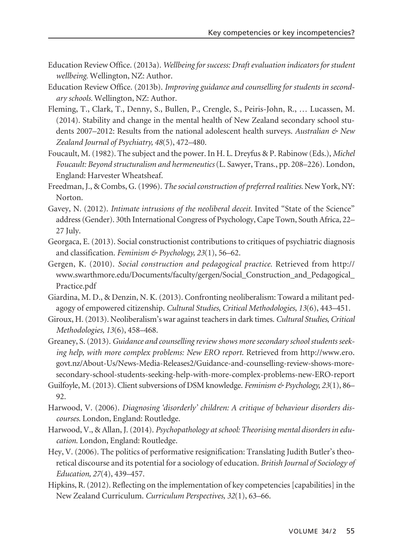- Education Review Office. (2013a). *Wellbeing for success: Draft evaluation indicators for student wellbeing.* Wellington, NZ: Author.
- Education Review Office. (2013b). *Improving guidance and counselling for students in secondary schools.* Wellington, NZ: Author.
- Fleming, T., Clark, T., Denny, S., Bullen, P., Crengle, S., Peiris-John, R., … Lucassen, M. (2014). Stability and change in the mental health of New Zealand secondary school students 2007–2012: Results from the national adolescent health surveys. *Australian & New Zealand Journal of Psychiatry, 48*(5), 472–480.
- Foucault, M. (1982). The subject and the power. In H. L. Dreyfus & P. Rabinow (Eds.), *Michel Foucault: Beyond structuralism and hermeneutics* (L. Sawyer, Trans., pp. 208–226). London, England: Harvester Wheatsheaf.
- Freedman, J., & Combs, G. (1996). *The social construction of preferred realities.* New York, NY: Norton.
- Gavey, N. (2012). *Intimate intrusions of the neoliberal deceit.* Invited "State of the Science" address (Gender). 30th International Congress of Psychology, Cape Town, South Africa, 22– 27 July.
- Georgaca, E. (2013). Social constructionist contributions to critiques of psychiatric diagnosis and classification. *Feminism & Psychology, 23*(1), 56–62.
- Gergen, K. (2010). *Social construction and pedagogical practice.* Retrieved from http:// www.swarthmore.edu/Documents/faculty/gergen/Social\_Construction\_and\_Pedagogical\_ Practice.pdf
- Giardina, M. D., & Denzin, N. K. (2013). Confronting neoliberalism: Toward a militant pedagogy of empowered citizenship. *Cultural Studies, Critical Methodologies, 13*(6), 443–451.
- Giroux, H. (2013). Neoliberalism's war against teachers in dark times. *Cultural Studies, Critical Methodologies, 13*(6), 458–468.
- Greaney, S. (2013). *Guidance and counselling review shows more secondary school students seeking help, with more complex problems: New ERO report*. Retrieved from http://www.ero. govt.nz/About-Us/ News-Media-Releases2/Guidance-and-counselling-review-shows-moresecondary-school-students-seeking-help-with-more-complex-problems-new-ERO-report
- Guilfoyle, M. (2013). Client subversions of DSM knowledge. *Feminism & Psychology, 23*(1), 86– 92.
- Harwood, V. (2006). *Diagnosing 'disorderly' children: A critique of behaviour disorders discourses*. London, England: Routledge.
- Harwood, V., & Allan, J. (2014). *Psychopathology at school: Theorising mental disorders in education*. London, England: Routledge.
- Hey, V. (2006). The politics of performative resignification: Translating Judith Butler's theoretical discourse and its potential for a sociology of education. *British Journal of Sociology of Education, 27*(4), 439–457.
- Hipkins, R. (2012). Reflecting on the implementation of key competencies [capabilities] in the New Zealand Curriculum. *Curriculum Perspectives, 32*(1), 63–66.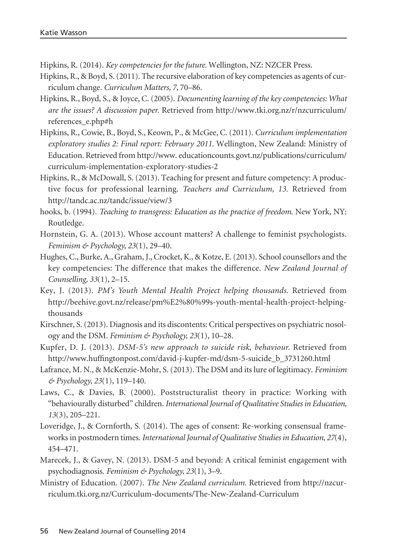Hipkins, R. (2014). *Key competencies for the future.* Wellington, NZ: NZCER Press.

- Hipkins, R., & Boyd, S. (2011). The recursive elaboration of key competencies as agents of curriculum change. *Curriculum Matters, 7,* 70–86.
- Hipkins, R., Boyd, S., & Joyce, C. (2005). *Documenting learning of the key competencies: What are the issues? A discussion paper.* Retrieved from http://www.tki.org.nz/r/nzcurriculum/ references\_e.php#h
- Hipkins, R., Cowie, B., Boyd, S., Keown, P., & McGee, C. (2011). *Curriculum implementation exploratory studies 2: Final report: February 2011.* Wellington, New Zealand: Ministry of Education. Retrieved from http://www. educationcounts.govt.nz/publications/curriculum/ curriculum-implementation-exploratory-studies-2
- Hipkins, R., & McDowall, S. (2013). Teaching for present and future competency: A productive focus for professional learning. *Teachers and Curriculum, 13.* Retrieved from http://tandc.ac.nz/tandc/issue/view/3
- hooks, b. (1994). *Teaching to transgress: Education as the practice of freedom*. New York, NY: Routledge.
- Hornstein, G. A. (2013). Whose account matters? A challenge to feminist psychologists. *Feminism & Psychology, 23*(1), 29–40.
- Hughes, C., Burke, A., Graham, J., Crocket, K., & Kotze, E. (2013). School counsellors and the key competencies: The difference that makes the difference. *New Zealand Journal of Counselling, 33*(1), 2–15.
- Key, J. (2013). *PM's Youth Mental Health Project helping thousands.* Retrieved from http://beehive.govt.nz/release/pm%E2%80%99s-youth-mental-health-project-helpingthousands
- Kirschner, S. (2013). Diagnosis and its discontents: Critical perspectives on psychiatric nosology and the DSM. *Feminism & Psychology, 23*(1), 10–28.
- Kupfer, D. J. (2013). *DSM-5's new approach to suicide risk, behaviour.* Retrieved from http://www.huffingtonpost.com/david-j-kupfer-md/dsm-5-suicide\_b\_3731260.html
- Lafrance, M. N., & McKenzie-Mohr, S. (2013). The DSM and its lure of legitimacy. *Feminism & Psychology, 23*(1), 119–140.
- Laws, C., & Davies, B. (2000). Poststructuralist theory in practice: Working with "behaviourally disturbed" children. *International Journal of Qualitative Studies in Education, 13*(3), 205–221.
- Loveridge, J., & Cornforth, S. (2014). The ages of consent: Re-working consensual frameworks in postmodern times. *International Journal of Qualitative Studies in Education, 27*(4), 454–471.
- Marecek, J., & Gavey, N. (2013). DSM-5 and beyond: A critical feminist engagement with psychodiagnosis. *Feminism & Psychology, 23*(1), 3–9.
- Ministry of Education. (2007). *The New Zealand curriculum*. Retrieved from http://nzcurriculum.tki.org.nz/Curriculum-documents/The-New-Zealand-Curriculum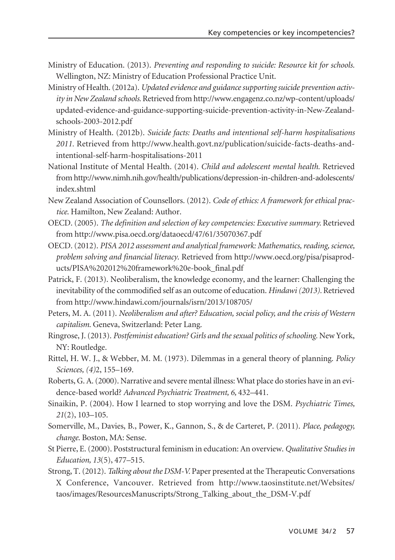- Ministry of Education. (2013). *Preventing and responding to suicide: Resource kit for schools.* Wellington, NZ: Ministry of Education Professional Practice Unit.
- Ministry of Health. (2012a). *Updated evidence and guidance supporting suicide prevention activity in New Zealand schools.* Retrieved from http://www.engagenz.co.nz/wp-content/uploads/ updated-evidence-and-guidance-supporting-suicide-prevention-activity-in-New-Zealandschools-2003-2012.pdf
- Ministry of Health. (2012b). *Suicide facts: Deaths and intentional self-harm hospitalisations 2011.* Retrieved from http://www.health.govt.nz/publication/suicide-facts-deaths-andintentional-self-harm-hospitalisations-2011
- National Institute of Mental Health. (2014). *Child and adolescent mental health.* Retrieved from http://www.nimh.nih.gov/health/publications/depression-in-children-and-adolescents/ index.shtml
- New Zealand Association of Counsellors. (2012). *Code of ethics: A framework for ethical practice*. Hamilton, New Zealand: Author.
- OECD. (2005). *The definition and selection of key competencies: Executive summary.* Retrieved from http://www.pisa.oecd.org/dataoecd/47/61/35070367.pdf
- OECD. (2012). *PISA 2012 assessment and analytical framework: Mathematics, reading, science, problem solving and financial literacy*. Retrieved from http://www.oecd.org/pisa/ pisaproducts/PISA%202012%20framework%20e-book\_final.pdf
- Patrick, F. (2013). Neoliberalism, the knowledge economy, and the learner: Challenging the inevitability of the commodified self as an outcome of education. *Hindawi (2013).* Retrieved from http://www.hindawi.com/journals/isrn/2013/108705/
- Peters, M. A. (2011). *Neoliberalism and after? Education, social policy, and the crisis of Western capitalism*. Geneva, Switzerland: Peter Lang.
- Ringrose, J. (2013). *Postfeminist education? Girls and the sexual politics of schooling.* New York, NY: Routledge.
- Rittel, H. W. J., & Webber, M. M. (1973). Dilemmas in a general theory of planning. *Policy Sciences, (4)*2, 155–169.
- Roberts, G. A. (2000). Narrative and severe mental illness: What place do stories have in an evidence-based world? *Advanced Psychiatric Treatment, 6,* 432–441.
- Sinaikin, P. (2004). How I learned to stop worrying and love the DSM. *Psychiatric Times, 21*(2), 103–105.
- Somerville, M., Davies, B., Power, K., Gannon, S., & de Carteret, P. (2011). *Place, pedagogy, change*. Boston, MA: Sense.
- St Pierre, E. (2000). Poststructural feminism in education: An overview. *Qualitative Studies in Education, 13*(5), 477–515.
- Strong, T. (2012). *Talking about the DSM-V.* Paper presented at the Therapeutic Conversations X Conference, Vancouver. Retrieved from http://www.taosinstitute.net/Websites/ taos/images/ResourcesManuscripts/Strong\_Talking\_about\_the\_DSM-V.pdf